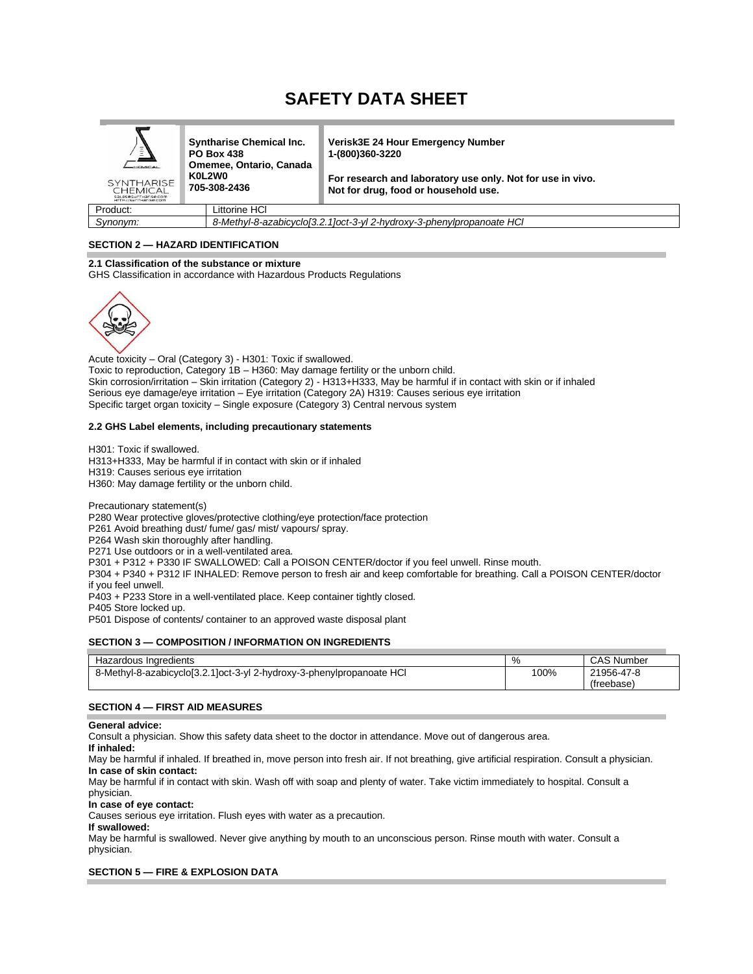# **SAFETY DATA SHEET**

| $\equiv$<br>Ξ<br><b>HEMICAL</b><br><b>SYNTHARISE</b><br>CHEMICAL<br>Saleses workarise.com<br>HTTP://SMOTHBEISe.com | <b>Syntharise Chemical Inc.</b><br><b>PO Box 438</b><br>Omemee, Ontario, Canada<br>K0L2W0<br>705-308-2436 | <b>Verisk3E 24 Hour Emergency Number</b><br>1-(800)360-3220<br>For research and laboratory use only. Not for use in vivo.<br>Not for drug, food or household use. |
|--------------------------------------------------------------------------------------------------------------------|-----------------------------------------------------------------------------------------------------------|-------------------------------------------------------------------------------------------------------------------------------------------------------------------|
| Product:                                                                                                           | Littorine HCl                                                                                             |                                                                                                                                                                   |

*Synonym: 8-Methyl-8-azabicyclo[3.2.1]oct-3-yl 2-hydroxy-3-phenylpropanoate HCl*

# **SECTION 2 — HAZARD IDENTIFICATION**

**2.1 Classification of the substance or mixture** GHS Classification in accordance with Hazardous Products Regulations



Acute toxicity – Oral (Category 3) - H301: Toxic if swallowed. Toxic to reproduction, Category 1B – H360: May damage fertility or the unborn child. Skin corrosion/irritation – Skin irritation (Category 2) - H313+H333, May be harmful if in contact with skin or if inhaled Serious eye damage/eye irritation – Eye irritation (Category 2A) H319: Causes serious eye irritation Specific target organ toxicity – Single exposure (Category 3) Central nervous system

#### **2.2 GHS Label elements, including precautionary statements**

H301: Toxic if swallowed. H313+H333, May be harmful if in contact with skin or if inhaled H319: Causes serious eye irritation H360: May damage fertility or the unborn child.

Precautionary statement(s) P280 Wear protective gloves/protective clothing/eye protection/face protection P261 Avoid breathing dust/ fume/ gas/ mist/ vapours/ spray. P264 Wash skin thoroughly after handling. P271 Use outdoors or in a well-ventilated area. P301 + P312 + P330 IF SWALLOWED: Call a POISON CENTER/doctor if you feel unwell. Rinse mouth. P304 + P340 + P312 IF INHALED: Remove person to fresh air and keep comfortable for breathing. Call a POISON CENTER/doctor if you feel unwell.

P403 + P233 Store in a well-ventilated place. Keep container tightly closed.

P405 Store locked up.

P501 Dispose of contents/ container to an approved waste disposal plant

#### **SECTION 3 — COMPOSITION / INFORMATION ON INGREDIENTS**

| Hazardous Ingredients                                                 | %    | CAS Number |
|-----------------------------------------------------------------------|------|------------|
| 8-Methyl-8-azabicyclo[3.2.1]oct-3-yl 2-hydroxy-3-phenylpropanoate HCl | 100% | 21956-47-8 |
|                                                                       |      | (freebase) |

#### **SECTION 4 — FIRST AID MEASURES**

**General advice:**

Consult a physician. Show this safety data sheet to the doctor in attendance. Move out of dangerous area.

# **If inhaled:**

May be harmful if inhaled. If breathed in, move person into fresh air. If not breathing, give artificial respiration. Consult a physician. **In case of skin contact:**

May be harmful if in contact with skin. Wash off with soap and plenty of water. Take victim immediately to hospital. Consult a physician.

#### **In case of eye contact:**

Causes serious eye irritation. Flush eyes with water as a precaution.

#### **If swallowed:**

May be harmful is swallowed. Never give anything by mouth to an unconscious person. Rinse mouth with water. Consult a physician.

#### **SECTION 5 — FIRE & EXPLOSION DATA**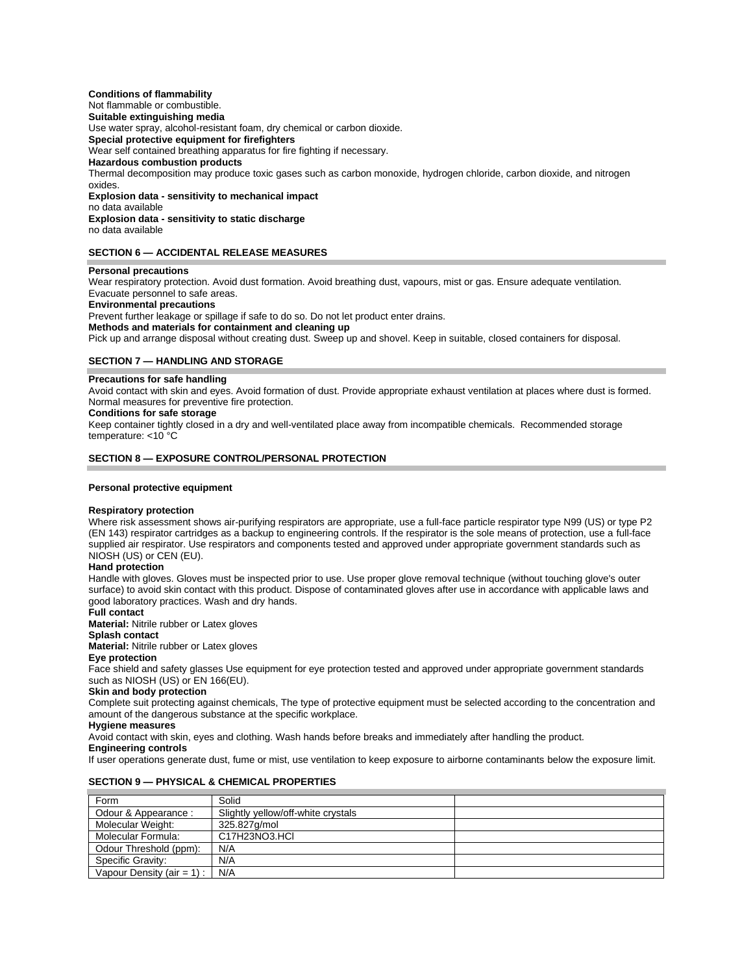# **Conditions of flammability**

Not flammable or combustible.

# **Suitable extinguishing media**

Use water spray, alcohol-resistant foam, dry chemical or carbon dioxide.

**Special protective equipment for firefighters** 

Wear self contained breathing apparatus for fire fighting if necessary.

# **Hazardous combustion products**

Thermal decomposition may produce toxic gases such as carbon monoxide, hydrogen chloride, carbon dioxide, and nitrogen oxides.

**Explosion data - sensitivity to mechanical impact** no data available **Explosion data - sensitivity to static discharge**  no data available

#### **SECTION 6 — ACCIDENTAL RELEASE MEASURES**

# **Personal precautions**

Wear respiratory protection. Avoid dust formation. Avoid breathing dust, vapours, mist or gas. Ensure adequate ventilation. Evacuate personnel to safe areas.

#### **Environmental precautions**

Prevent further leakage or spillage if safe to do so. Do not let product enter drains.

#### **Methods and materials for containment and cleaning up**

Pick up and arrange disposal without creating dust. Sweep up and shovel. Keep in suitable, closed containers for disposal.

#### **SECTION 7 — HANDLING AND STORAGE**

#### **Precautions for safe handling**

Avoid contact with skin and eyes. Avoid formation of dust. Provide appropriate exhaust ventilation at places where dust is formed. Normal measures for preventive fire protection.

#### **Conditions for safe storage**

Keep container tightly closed in a dry and well-ventilated place away from incompatible chemicals. Recommended storage temperature: <10 °C

#### **SECTION 8 — EXPOSURE CONTROL/PERSONAL PROTECTION**

#### **Personal protective equipment**

#### **Respiratory protection**

Where risk assessment shows air-purifying respirators are appropriate, use a full-face particle respirator type N99 (US) or type P2 (EN 143) respirator cartridges as a backup to engineering controls. If the respirator is the sole means of protection, use a full-face supplied air respirator. Use respirators and components tested and approved under appropriate government standards such as NIOSH (US) or CEN (EU).

#### **Hand protection**

Handle with gloves. Gloves must be inspected prior to use. Use proper glove removal technique (without touching glove's outer surface) to avoid skin contact with this product. Dispose of contaminated gloves after use in accordance with applicable laws and good laboratory practices. Wash and dry hands.

**Full contact Material:** Nitrile rubber or Latex gloves

# **Splash contact**

**Material:** Nitrile rubber or Latex gloves

#### **Eye protection**

Face shield and safety glasses Use equipment for eye protection tested and approved under appropriate government standards such as NIOSH (US) or EN 166(EU).

#### **Skin and body protection**

Complete suit protecting against chemicals, The type of protective equipment must be selected according to the concentration and amount of the dangerous substance at the specific workplace.

#### **Hygiene measures**

Avoid contact with skin, eyes and clothing. Wash hands before breaks and immediately after handling the product.

# **Engineering controls**

If user operations generate dust, fume or mist, use ventilation to keep exposure to airborne contaminants below the exposure limit.

#### **SECTION 9 — PHYSICAL & CHEMICAL PROPERTIES**

| Form                          | Solid                              |  |
|-------------------------------|------------------------------------|--|
| Odour & Appearance :          | Slightly yellow/off-white crystals |  |
| Molecular Weight:             | 325.827q/mol                       |  |
| Molecular Formula:            | C17H23NO3.HCI                      |  |
| Odour Threshold (ppm):        | N/A                                |  |
| Specific Gravity:             | N/A                                |  |
| Vapour Density (air = $1$ ) : | N/A                                |  |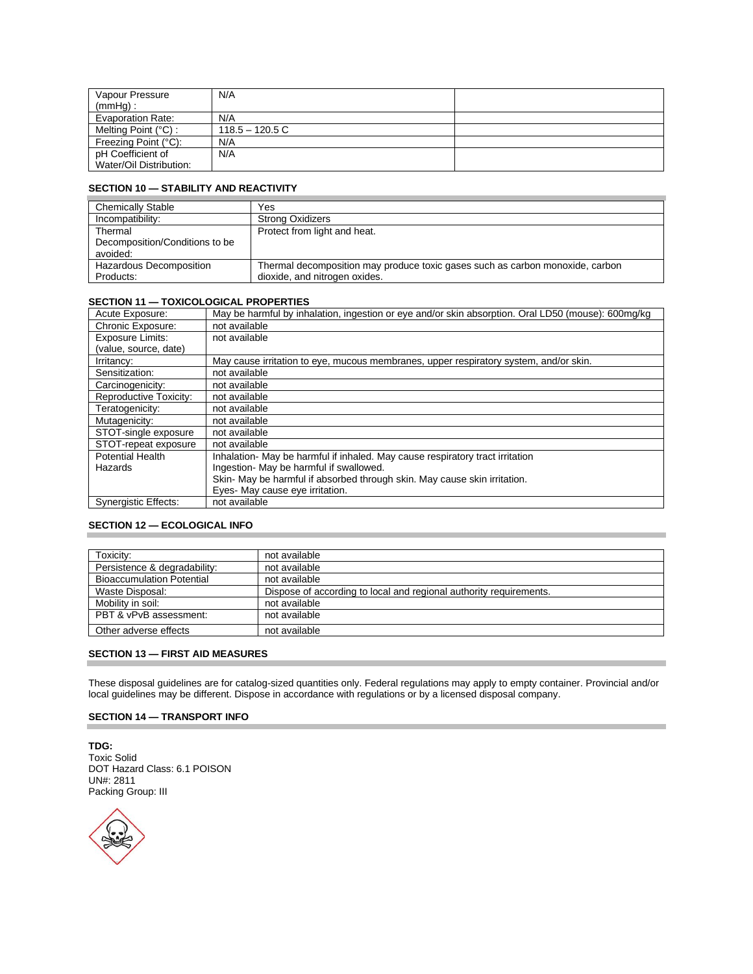| Vapour Pressure         | N/A              |  |
|-------------------------|------------------|--|
| $(mmHq)$ :              |                  |  |
| Evaporation Rate:       | N/A              |  |
| Melting Point $(°C)$ :  | $118.5 - 120.5C$ |  |
| Freezing Point (°C):    | N/A              |  |
| pH Coefficient of       | N/A              |  |
| Water/Oil Distribution: |                  |  |

# **SECTION 10 — STABILITY AND REACTIVITY**

| <b>Chemically Stable</b>       | Yes                                                                           |
|--------------------------------|-------------------------------------------------------------------------------|
| Incompatibility:               | <b>Strong Oxidizers</b>                                                       |
| Thermal                        | Protect from light and heat.                                                  |
| Decomposition/Conditions to be |                                                                               |
| avoided:                       |                                                                               |
| Hazardous Decomposition        | Thermal decomposition may produce toxic gases such as carbon monoxide, carbon |
| Products:                      | dioxide, and nitrogen oxides.                                                 |

# **SECTION 11 — TOXICOLOGICAL PROPERTIES**

| Acute Exposure:             | May be harmful by inhalation, ingestion or eye and/or skin absorption. Oral LD50 (mouse): 600mg/kg |
|-----------------------------|----------------------------------------------------------------------------------------------------|
| Chronic Exposure:           | not available                                                                                      |
| <b>Exposure Limits:</b>     | not available                                                                                      |
| (value, source, date)       |                                                                                                    |
| Irritancy:                  | May cause irritation to eye, mucous membranes, upper respiratory system, and/or skin.              |
| Sensitization:              | not available                                                                                      |
| Carcinogenicity:            | not available                                                                                      |
| Reproductive Toxicity:      | not available                                                                                      |
| Teratogenicity:             | not available                                                                                      |
| Mutagenicity:               | not available                                                                                      |
| STOT-single exposure        | not available                                                                                      |
| STOT-repeat exposure        | not available                                                                                      |
| <b>Potential Health</b>     | Inhalation- May be harmful if inhaled. May cause respiratory tract irritation                      |
| Hazards                     | Ingestion- May be harmful if swallowed.                                                            |
|                             | Skin- May be harmful if absorbed through skin. May cause skin irritation.                          |
|                             | Eyes- May cause eye irritation.                                                                    |
| <b>Synergistic Effects:</b> | not available                                                                                      |

# **SECTION 12 — ECOLOGICAL INFO**

| Toxicity:                        | not available                                                      |
|----------------------------------|--------------------------------------------------------------------|
| Persistence & degradability:     | not available                                                      |
| <b>Bioaccumulation Potential</b> | not available                                                      |
| Waste Disposal:                  | Dispose of according to local and regional authority requirements. |
| Mobility in soil:                | not available                                                      |
| PBT & vPvB assessment:           | not available                                                      |
| Other adverse effects            | not available                                                      |

# **SECTION 13 — FIRST AID MEASURES**

These disposal guidelines are for catalog-sized quantities only. Federal regulations may apply to empty container. Provincial and/or local guidelines may be different. Dispose in accordance with regulations or by a licensed disposal company.

# **SECTION 14 — TRANSPORT INFO**

**TDG:** Toxic Solid DOT Hazard Class: 6.1 POISON UN#: 2811 Packing Group: III